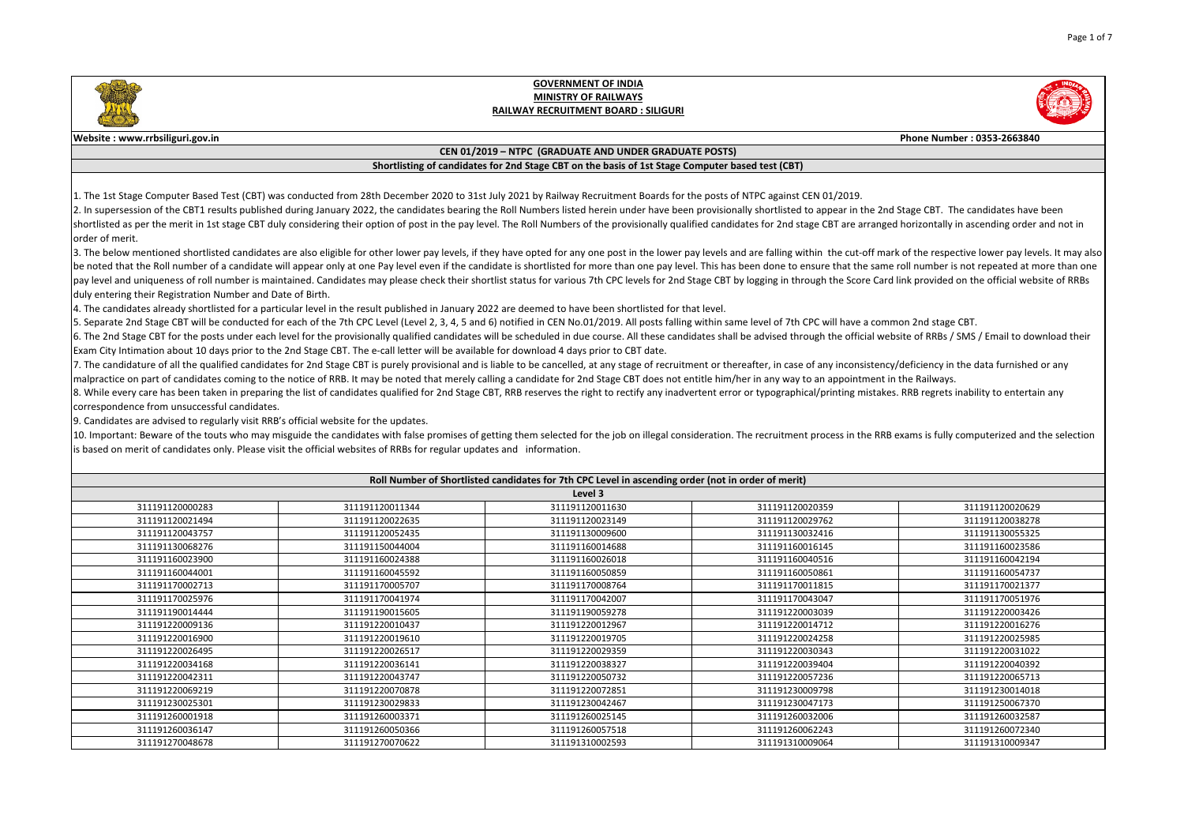|                                     | Phone Number: 0353-2663840                                                                                                                                                                                 |
|-------------------------------------|------------------------------------------------------------------------------------------------------------------------------------------------------------------------------------------------------------|
|                                     |                                                                                                                                                                                                            |
|                                     |                                                                                                                                                                                                            |
|                                     |                                                                                                                                                                                                            |
| N 01/2019.                          | appear in the 2nd Stage CBT. The candidates have been<br>ge CBT are arranged horizontally in ascending order and not in                                                                                    |
|                                     | in the cut-off mark of the respective lower pay levels. It may also<br>sure that the same roll number is not repeated at more than one<br>ugh the Score Card link provided on the official website of RRBs |
| C will have a common 2nd stage CBT. | igh the official website of RRBs / SMS / Email to download their                                                                                                                                           |
| an appointment in the Railways.     | f any inconsistency/deficiency in the data furnished or any<br>Il/printing mistakes. RRB regrets inability to entertain any<br>process in the RRB exams is fully computerized and the selection            |
|                                     |                                                                                                                                                                                                            |
|                                     |                                                                                                                                                                                                            |
|                                     |                                                                                                                                                                                                            |
| :0359                               | 311191120020629                                                                                                                                                                                            |
| 9762                                | 311191120038278                                                                                                                                                                                            |
| 2416                                | 311191130055325                                                                                                                                                                                            |
| 6145                                | 311191160023586                                                                                                                                                                                            |
| 0516                                | 311191160042194                                                                                                                                                                                            |
| 0861                                | 311191160054737                                                                                                                                                                                            |
| 1815                                | 311191170021377                                                                                                                                                                                            |
| 3047                                | 311191170051976                                                                                                                                                                                            |
| 3039                                | 311191220003426                                                                                                                                                                                            |
| 4712                                | 311191220016276                                                                                                                                                                                            |
| 4258                                | 311191220025985                                                                                                                                                                                            |
| 0343                                | 311191220031022                                                                                                                                                                                            |
| 9404                                | 311191220040392                                                                                                                                                                                            |
|                                     |                                                                                                                                                                                                            |
| 7236                                | 311191220065713                                                                                                                                                                                            |
| 19798                               | 311191230014018                                                                                                                                                                                            |
| 7173                                | 311191250067370                                                                                                                                                                                            |
| 2006                                | 311191260032587                                                                                                                                                                                            |
| 2243                                | 311191260072340                                                                                                                                                                                            |
| 9064                                | 311191310009347                                                                                                                                                                                            |

3. The below mentioned shortlisted candidates are also eligible for other lower pay levels, if they have opted for any one post in the lower pay levels and are falling with be noted that the Roll number of a candidate will appear only at one Pay level even if the candidate is shortlisted for more than one pay level. This has been done to ens pay level and uniqueness of roll number is maintained. Candidates may please check their shortlist status for various 7th CPC levels for 2nd Stage CBT by logging in throu duly entering their Registration Number and Date of Birth.

4. The candidates already shortlisted for a particular level in the result published in January 2022 are deemed to have been shortlisted for that level.

5. Separate 2nd Stage CBT will be conducted for each of the 7th CPC Level (Level 2, 3, 4, 5 and 6) notified in CEN No.01/2019. All posts falling within same level of 7th CP 6. The 2nd Stage CBT for the posts under each level for the provisionally qualified candidates will be scheduled in due course. All these candidates shall be advised throu Exam City Intimation about 10 days prior to the 2nd Stage CBT. The e-call letter will be available for download 4 days prior to CBT date.

7. The candidature of all the qualified candidates for 2nd Stage CBT is purely provisional and is liable to be cancelled, at any stage of recruitment or thereafter, in case of  $\vert$ malpractice on part of candidates coming to the notice of RRB. It may be noted that merely calling a candidate for 2nd Stage CBT does not entitle him/her in any way to 8. While every care has been taken in preparing the list of candidates qualified for 2nd Stage CBT, RRB reserves the right to rectify any inadvertent error or typographica correspondence from unsuccessful candidates.

10. Important: Beware of the touts who may misguide the candidates with false promises of getting them selected for the job on illegal consideration. The recruitment p is based on merit of candidates only. Please visit the official websites of RRBs for regular updates and information.

| Roll Number of Shortlisted candidates for 7th CPC Level in ascending order (not in order of merit) |                 |                 |                 |                 |
|----------------------------------------------------------------------------------------------------|-----------------|-----------------|-----------------|-----------------|
|                                                                                                    |                 | Level 3         |                 |                 |
| 311191120000283                                                                                    | 311191120011344 | 311191120011630 | 311191120020359 | 311191120020629 |
| 311191120021494                                                                                    | 311191120022635 | 311191120023149 | 311191120029762 | 311191120038278 |
| 311191120043757                                                                                    | 311191120052435 | 311191130009600 | 311191130032416 | 311191130055325 |
| 311191130068276                                                                                    | 311191150044004 | 311191160014688 | 311191160016145 | 311191160023586 |
| 311191160023900                                                                                    | 311191160024388 | 311191160026018 | 311191160040516 | 311191160042194 |
| 311191160044001                                                                                    | 311191160045592 | 311191160050859 | 311191160050861 | 311191160054737 |
| 311191170002713                                                                                    | 311191170005707 | 311191170008764 | 311191170011815 | 311191170021377 |
| 311191170025976                                                                                    | 311191170041974 | 311191170042007 | 311191170043047 | 311191170051976 |
| 311191190014444                                                                                    | 311191190015605 | 311191190059278 | 311191220003039 | 311191220003426 |
| 311191220009136                                                                                    | 311191220010437 | 311191220012967 | 311191220014712 | 311191220016276 |
| 311191220016900                                                                                    | 311191220019610 | 311191220019705 | 311191220024258 | 311191220025985 |
| 311191220026495                                                                                    | 311191220026517 | 311191220029359 | 311191220030343 | 311191220031022 |
| 311191220034168                                                                                    | 311191220036141 | 311191220038327 | 311191220039404 | 311191220040392 |
| 311191220042311                                                                                    | 311191220043747 | 311191220050732 | 311191220057236 | 311191220065713 |
| 311191220069219                                                                                    | 311191220070878 | 311191220072851 | 311191230009798 | 311191230014018 |
| 311191230025301                                                                                    | 311191230029833 | 311191230042467 | 311191230047173 | 311191250067370 |
| 311191260001918                                                                                    | 311191260003371 | 311191260025145 | 311191260032006 | 311191260032587 |
| 311191260036147                                                                                    | 311191260050366 | 311191260057518 | 311191260062243 | 311191260072340 |
| 311191270048678                                                                                    | 311191270070622 | 311191310002593 | 311191310009064 | 311191310009347 |

9. Candidates are advised to regularly visit RRB's official website for the updates.



### **GOVERNMENT OF INDIA MINISTRY OF RAILWAYS RAILWAY RECRUITMENT BOARD : SILIGURI**

### **Website : www.rrbsiliguri.gov.in**

#### **CEN 01/2019 – NTPC (GRADUATE AND UNDER GRADUATE POSTS)**

### **Shortlisting of candidates for 2nd Stage CBT on the basis of 1st Stage Computer based test (CBT)**

1. The 1st Stage Computer Based Test (CBT) was conducted from 28th December 2020 to 31st July 2021 by Railway Recruitment Boards for the posts of NTPC against CE 2. In supersession of the CBT1 results published during January 2022, the candidates bearing the Roll Numbers listed herein under have been provisionally shortlisted to shortlisted as per the merit in 1st stage CBT duly considering their option of post in the pay level. The Roll Numbers of the provisionally qualified candidates for 2nd stag lorder of merit.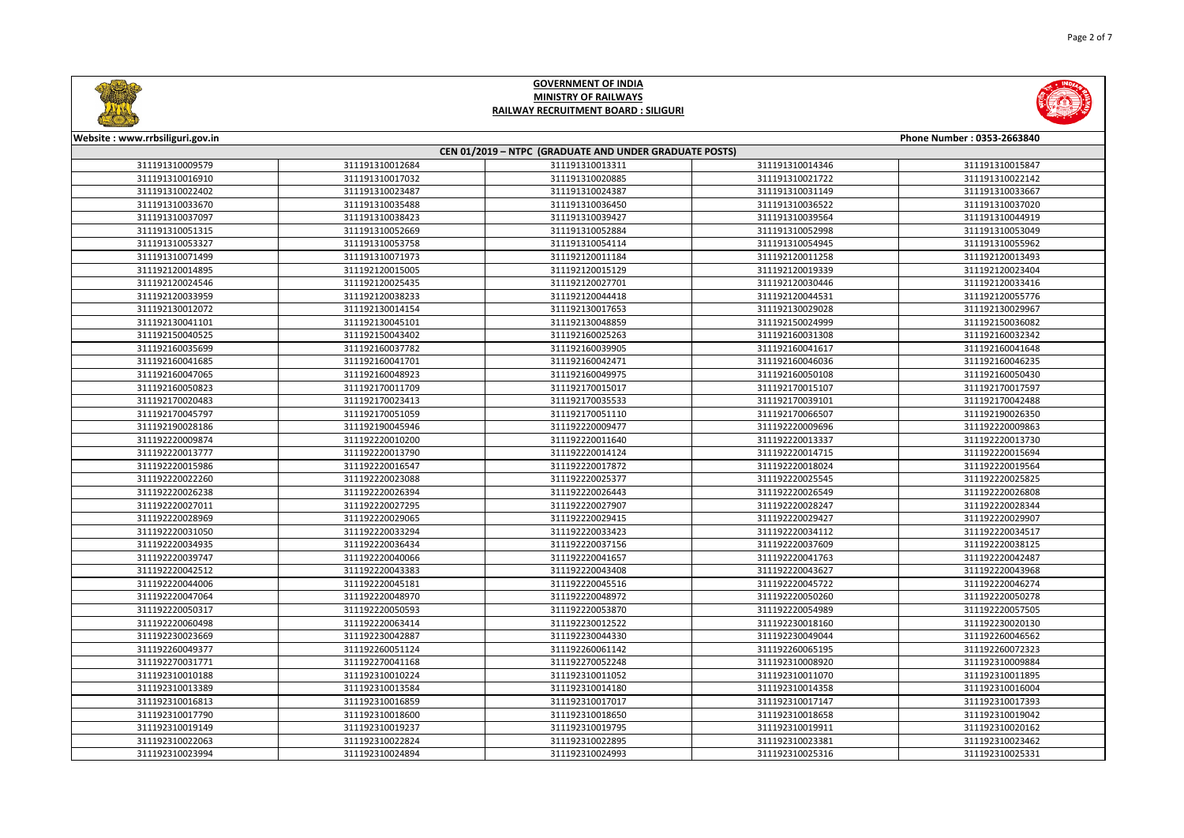



| Website: www.rrbsiliguri.gov.in<br>Phone Number: 0353-2663840 |                 |                                                        |                 |                 |  |
|---------------------------------------------------------------|-----------------|--------------------------------------------------------|-----------------|-----------------|--|
|                                                               |                 | CEN 01/2019 - NTPC (GRADUATE AND UNDER GRADUATE POSTS) |                 |                 |  |
| 311191310009579                                               | 311191310012684 | 311191310013311                                        | 311191310014346 | 311191310015847 |  |
| 311191310016910                                               | 311191310017032 | 311191310020885                                        | 311191310021722 | 311191310022142 |  |
| 311191310022402                                               | 311191310023487 | 311191310024387                                        | 311191310031149 | 311191310033667 |  |
| 311191310033670                                               | 311191310035488 | 311191310036450                                        | 311191310036522 | 311191310037020 |  |
| 311191310037097                                               | 311191310038423 | 311191310039427                                        | 311191310039564 | 311191310044919 |  |
| 311191310051315                                               | 311191310052669 | 311191310052884                                        | 311191310052998 | 311191310053049 |  |
| 311191310053327                                               | 311191310053758 | 311191310054114                                        | 311191310054945 | 311191310055962 |  |
| 311191310071499                                               | 311191310071973 | 311192120011184                                        | 311192120011258 | 311192120013493 |  |
| 311192120014895                                               | 311192120015005 | 311192120015129                                        | 311192120019339 | 311192120023404 |  |
| 311192120024546                                               | 311192120025435 | 311192120027701                                        | 311192120030446 | 311192120033416 |  |
| 311192120033959                                               | 311192120038233 | 311192120044418                                        | 311192120044531 | 311192120055776 |  |
| 311192130012072                                               | 311192130014154 | 311192130017653                                        | 311192130029028 | 311192130029967 |  |
| 311192130041101                                               | 311192130045101 | 311192130048859                                        | 311192150024999 | 311192150036082 |  |
| 311192150040525                                               | 311192150043402 | 311192160025263                                        | 311192160031308 | 311192160032342 |  |
| 311192160035699                                               | 311192160037782 | 311192160039905                                        | 311192160041617 | 311192160041648 |  |
| 311192160041685                                               | 311192160041701 | 311192160042471                                        | 311192160046036 | 311192160046235 |  |
| 311192160047065                                               | 311192160048923 | 311192160049975                                        | 311192160050108 | 311192160050430 |  |
| 311192160050823                                               | 311192170011709 | 311192170015017                                        | 311192170015107 | 311192170017597 |  |
| 311192170020483                                               | 311192170023413 | 311192170035533                                        | 311192170039101 | 311192170042488 |  |
| 311192170045797                                               | 311192170051059 | 311192170051110                                        | 311192170066507 | 311192190026350 |  |
| 311192190028186                                               | 311192190045946 | 311192220009477                                        | 311192220009696 | 311192220009863 |  |
| 311192220009874                                               | 311192220010200 | 311192220011640                                        | 311192220013337 | 311192220013730 |  |
| 311192220013777                                               | 311192220013790 | 311192220014124                                        | 311192220014715 | 311192220015694 |  |
| 311192220015986                                               | 311192220016547 | 311192220017872                                        | 311192220018024 | 311192220019564 |  |
| 311192220022260                                               | 311192220023088 | 311192220025377                                        | 311192220025545 | 311192220025825 |  |
| 311192220026238                                               | 311192220026394 | 311192220026443                                        | 311192220026549 | 311192220026808 |  |
| 311192220027011                                               | 311192220027295 | 311192220027907                                        | 311192220028247 | 311192220028344 |  |
| 311192220028969                                               | 311192220029065 | 311192220029415                                        | 311192220029427 | 311192220029907 |  |
| 311192220031050                                               | 311192220033294 | 311192220033423                                        | 311192220034112 | 311192220034517 |  |
| 311192220034935                                               | 311192220036434 | 311192220037156                                        | 311192220037609 | 311192220038125 |  |
| 311192220039747                                               | 311192220040066 | 311192220041657                                        | 311192220041763 | 311192220042487 |  |
| 311192220042512                                               | 311192220043383 | 311192220043408                                        | 311192220043627 | 311192220043968 |  |
| 311192220044006                                               | 311192220045181 | 311192220045516                                        | 311192220045722 | 311192220046274 |  |
| 311192220047064                                               | 311192220048970 | 311192220048972                                        | 311192220050260 | 311192220050278 |  |
| 311192220050317                                               | 311192220050593 | 311192220053870                                        | 311192220054989 | 311192220057505 |  |
| 311192220060498                                               | 311192220063414 | 311192230012522                                        | 311192230018160 | 311192230020130 |  |
| 311192230023669                                               | 311192230042887 | 311192230044330                                        | 311192230049044 | 311192260046562 |  |
| 311192260049377                                               | 311192260051124 | 311192260061142                                        | 311192260065195 | 311192260072323 |  |
| 311192270031771                                               | 311192270041168 | 311192270052248                                        | 311192310008920 | 311192310009884 |  |
| 311192310010188                                               | 311192310010224 | 311192310011052                                        | 311192310011070 | 311192310011895 |  |
| 311192310013389                                               | 311192310013584 | 311192310014180                                        | 311192310014358 | 311192310016004 |  |
| 311192310016813                                               | 311192310016859 | 311192310017017                                        | 311192310017147 | 311192310017393 |  |
| 311192310017790                                               | 311192310018600 | 311192310018650                                        | 311192310018658 | 311192310019042 |  |
| 311192310019149                                               | 311192310019237 | 311192310019795                                        | 311192310019911 | 311192310020162 |  |
| 311192310022063                                               | 311192310022824 | 311192310022895                                        | 311192310023381 | 311192310023462 |  |
| 311192310023994                                               | 311192310024894 | 311192310024993                                        | 311192310025316 | 311192310025331 |  |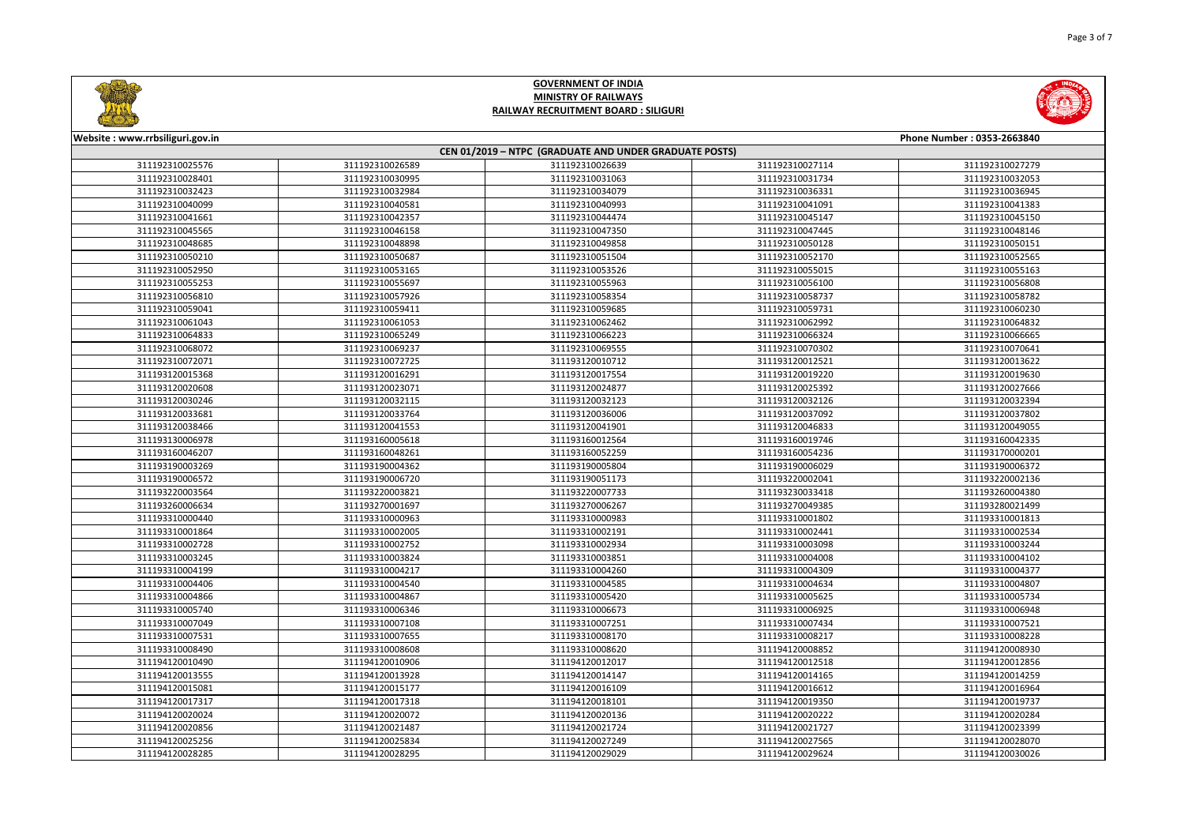



| CEN 01/2019 - NTPC (GRADUATE AND UNDER GRADUATE POSTS) |                 |                 |                 |                 |
|--------------------------------------------------------|-----------------|-----------------|-----------------|-----------------|
| 311192310025576                                        | 311192310026589 | 311192310026639 | 311192310027114 | 311192310027279 |
| 311192310028401                                        | 311192310030995 | 311192310031063 | 311192310031734 | 311192310032053 |
| 311192310032423                                        | 311192310032984 | 311192310034079 | 311192310036331 | 311192310036945 |
| 311192310040099                                        | 311192310040581 | 311192310040993 | 311192310041091 | 311192310041383 |
| 311192310041661                                        | 311192310042357 | 311192310044474 | 311192310045147 | 311192310045150 |
| 311192310045565                                        | 311192310046158 | 311192310047350 | 311192310047445 | 311192310048146 |
| 311192310048685                                        | 311192310048898 | 311192310049858 | 311192310050128 | 311192310050151 |
| 311192310050210                                        | 311192310050687 | 311192310051504 | 311192310052170 | 311192310052565 |
| 311192310052950                                        | 311192310053165 | 311192310053526 | 311192310055015 | 311192310055163 |
| 311192310055253                                        | 311192310055697 | 311192310055963 | 311192310056100 | 311192310056808 |
| 311192310056810                                        | 311192310057926 | 311192310058354 | 311192310058737 | 311192310058782 |
| 311192310059041                                        | 311192310059411 | 311192310059685 | 311192310059731 | 311192310060230 |
| 311192310061043                                        | 311192310061053 | 311192310062462 | 311192310062992 | 311192310064832 |
| 311192310064833                                        | 311192310065249 | 311192310066223 | 311192310066324 | 311192310066665 |
| 311192310068072                                        | 311192310069237 | 311192310069555 | 311192310070302 | 311192310070641 |
| 311192310072071                                        | 311192310072725 | 311193120010712 | 311193120012521 | 311193120013622 |
| 311193120015368                                        | 311193120016291 | 311193120017554 | 311193120019220 | 311193120019630 |
| 311193120020608                                        | 311193120023071 | 311193120024877 | 311193120025392 | 311193120027666 |
| 311193120030246                                        | 311193120032115 | 311193120032123 | 311193120032126 | 311193120032394 |
| 311193120033681                                        | 311193120033764 | 311193120036006 | 311193120037092 | 311193120037802 |
| 311193120038466                                        | 311193120041553 | 311193120041901 | 311193120046833 | 311193120049055 |
| 311193130006978                                        | 311193160005618 | 311193160012564 | 311193160019746 | 311193160042335 |
| 311193160046207                                        | 311193160048261 | 311193160052259 | 311193160054236 | 311193170000201 |
| 311193190003269                                        | 311193190004362 | 311193190005804 | 311193190006029 | 311193190006372 |
| 311193190006572                                        | 311193190006720 | 311193190051173 | 311193220002041 | 311193220002136 |
| 311193220003564                                        | 311193220003821 | 311193220007733 | 311193230033418 | 311193260004380 |
| 311193260006634                                        | 311193270001697 | 311193270006267 | 311193270049385 | 311193280021499 |
| 311193310000440                                        | 311193310000963 | 311193310000983 | 311193310001802 | 311193310001813 |
| 311193310001864                                        | 311193310002005 | 311193310002191 | 311193310002441 | 311193310002534 |
| 311193310002728                                        | 311193310002752 | 311193310002934 | 311193310003098 | 311193310003244 |
| 311193310003245                                        | 311193310003824 | 311193310003851 | 311193310004008 | 311193310004102 |
| 311193310004199                                        | 311193310004217 | 311193310004260 | 311193310004309 | 311193310004377 |
| 311193310004406                                        | 311193310004540 | 311193310004585 | 311193310004634 | 311193310004807 |
| 311193310004866                                        | 311193310004867 | 311193310005420 | 311193310005625 | 311193310005734 |
| 311193310005740                                        | 311193310006346 | 311193310006673 | 311193310006925 | 311193310006948 |
| 311193310007049                                        | 311193310007108 | 311193310007251 | 311193310007434 | 311193310007521 |
| 311193310007531                                        | 311193310007655 | 311193310008170 | 311193310008217 | 311193310008228 |
| 311193310008490                                        | 311193310008608 | 311193310008620 | 311194120008852 | 311194120008930 |
| 311194120010490                                        | 311194120010906 | 311194120012017 | 311194120012518 | 311194120012856 |
| 311194120013555                                        | 311194120013928 | 311194120014147 | 311194120014165 | 311194120014259 |
| 311194120015081                                        | 311194120015177 | 311194120016109 | 311194120016612 | 311194120016964 |
| 311194120017317                                        | 311194120017318 | 311194120018101 | 311194120019350 | 311194120019737 |
| 311194120020024                                        | 311194120020072 | 311194120020136 | 311194120020222 | 311194120020284 |
| 311194120020856                                        | 311194120021487 | 311194120021724 | 311194120021727 | 311194120023399 |
| 311194120025256                                        | 311194120025834 | 311194120027249 | 311194120027565 | 311194120028070 |
| 311194120028285                                        | 311194120028295 | 311194120029029 | 311194120029624 | 311194120030026 |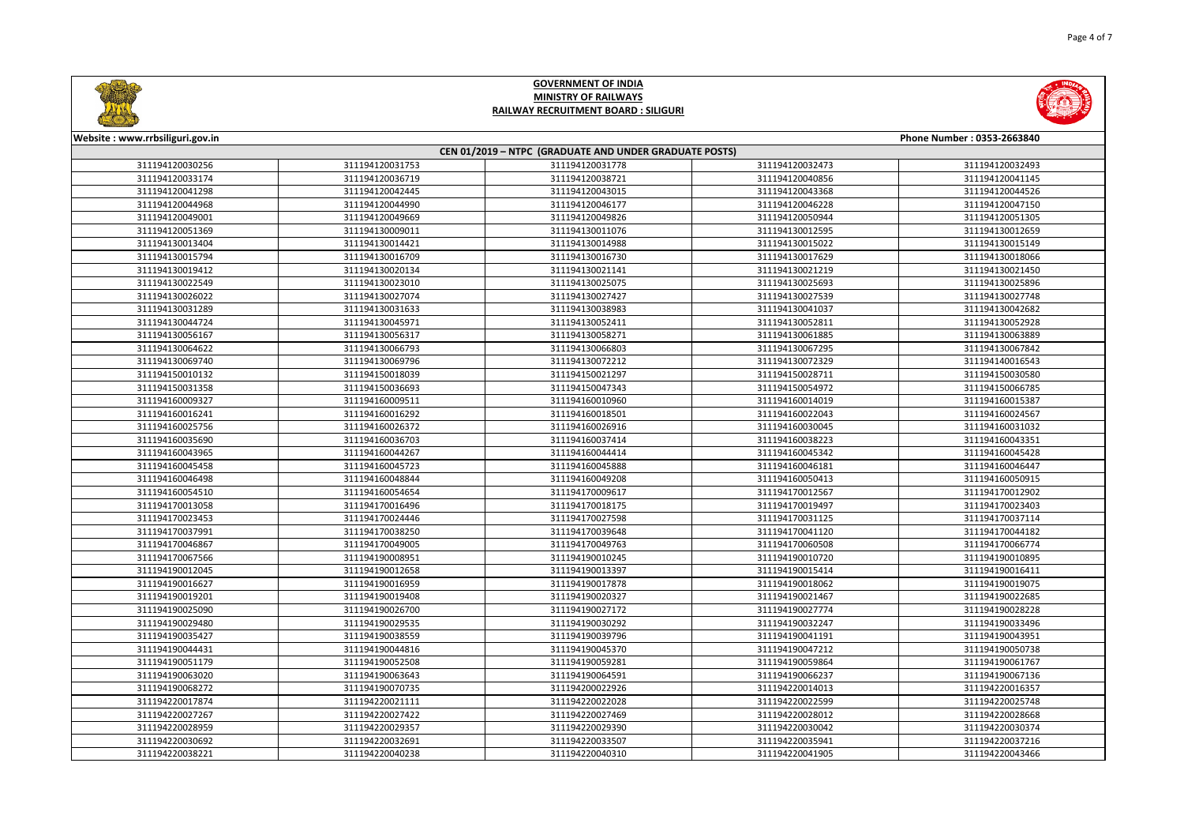



| Website: www.rrbsiliguri.gov.in |                 |                                                        |                 | Phone Number: 0353-2663840 |
|---------------------------------|-----------------|--------------------------------------------------------|-----------------|----------------------------|
|                                 |                 | CEN 01/2019 - NTPC (GRADUATE AND UNDER GRADUATE POSTS) |                 |                            |
| 311194120030256                 | 311194120031753 | 311194120031778                                        | 311194120032473 | 311194120032493            |
| 311194120033174                 | 311194120036719 | 311194120038721                                        | 311194120040856 | 311194120041145            |
| 311194120041298                 | 311194120042445 | 311194120043015                                        | 311194120043368 | 311194120044526            |
| 311194120044968                 | 311194120044990 | 311194120046177                                        | 311194120046228 | 311194120047150            |
| 311194120049001                 | 311194120049669 | 311194120049826                                        | 311194120050944 | 311194120051305            |
| 311194120051369                 | 311194130009011 | 311194130011076                                        | 311194130012595 | 311194130012659            |
| 311194130013404                 | 311194130014421 | 311194130014988                                        | 311194130015022 | 311194130015149            |
| 311194130015794                 | 311194130016709 | 311194130016730                                        | 311194130017629 | 311194130018066            |
| 311194130019412                 | 311194130020134 | 311194130021141                                        | 311194130021219 | 311194130021450            |
| 311194130022549                 | 311194130023010 | 311194130025075                                        | 311194130025693 | 311194130025896            |
| 311194130026022                 | 311194130027074 | 311194130027427                                        | 311194130027539 | 311194130027748            |
| 311194130031289                 | 311194130031633 | 311194130038983                                        | 311194130041037 | 311194130042682            |
| 311194130044724                 | 311194130045971 | 311194130052411                                        | 311194130052811 | 311194130052928            |
| 311194130056167                 | 311194130056317 | 311194130058271                                        | 311194130061885 | 311194130063889            |
| 311194130064622                 | 311194130066793 | 311194130066803                                        | 311194130067295 | 311194130067842            |
| 311194130069740                 | 311194130069796 | 311194130072212                                        | 311194130072329 | 311194140016543            |
| 311194150010132                 | 311194150018039 | 311194150021297                                        | 311194150028711 | 311194150030580            |
| 311194150031358                 | 311194150036693 | 311194150047343                                        | 311194150054972 | 311194150066785            |
| 311194160009327                 | 311194160009511 | 311194160010960                                        | 311194160014019 | 311194160015387            |
| 311194160016241                 | 311194160016292 | 311194160018501                                        | 311194160022043 | 311194160024567            |
| 311194160025756                 | 311194160026372 | 311194160026916                                        | 311194160030045 | 311194160031032            |
| 311194160035690                 | 311194160036703 | 311194160037414                                        | 311194160038223 | 311194160043351            |
| 311194160043965                 | 311194160044267 | 311194160044414                                        | 311194160045342 | 311194160045428            |
| 311194160045458                 | 311194160045723 | 311194160045888                                        | 311194160046181 | 311194160046447            |
| 311194160046498                 | 311194160048844 | 311194160049208                                        | 311194160050413 | 311194160050915            |
| 311194160054510                 | 311194160054654 | 311194170009617                                        | 311194170012567 | 311194170012902            |
| 311194170013058                 | 311194170016496 | 311194170018175                                        | 311194170019497 | 311194170023403            |
| 311194170023453                 | 311194170024446 | 311194170027598                                        | 311194170031125 | 311194170037114            |
| 311194170037991                 | 311194170038250 | 311194170039648                                        | 311194170041120 | 311194170044182            |
| 311194170046867                 | 311194170049005 | 311194170049763                                        | 311194170060508 | 311194170066774            |
| 311194170067566                 | 311194190008951 | 311194190010245                                        | 311194190010720 | 311194190010895            |
| 311194190012045                 | 311194190012658 | 311194190013397                                        | 311194190015414 | 311194190016411            |
| 311194190016627                 | 311194190016959 | 311194190017878                                        | 311194190018062 | 311194190019075            |
| 311194190019201                 | 311194190019408 | 311194190020327                                        | 311194190021467 | 311194190022685            |
| 311194190025090                 | 311194190026700 | 311194190027172                                        | 311194190027774 | 311194190028228            |
| 311194190029480                 | 311194190029535 | 311194190030292                                        | 311194190032247 | 311194190033496            |
| 311194190035427                 | 311194190038559 | 311194190039796                                        | 311194190041191 | 311194190043951            |
| 311194190044431                 | 311194190044816 | 311194190045370                                        | 311194190047212 | 311194190050738            |
| 311194190051179                 | 311194190052508 | 311194190059281                                        | 311194190059864 | 311194190061767            |
| 311194190063020                 | 311194190063643 | 311194190064591                                        | 311194190066237 | 311194190067136            |
| 311194190068272                 | 311194190070735 | 311194200022926                                        | 311194220014013 | 311194220016357            |
| 311194220017874                 | 311194220021111 | 311194220022028                                        | 311194220022599 | 311194220025748            |
| 311194220027267                 | 311194220027422 | 311194220027469                                        | 311194220028012 | 311194220028668            |
| 311194220028959                 | 311194220029357 | 311194220029390                                        | 311194220030042 | 311194220030374            |
| 311194220030692                 | 311194220032691 | 311194220033507                                        | 311194220035941 | 311194220037216            |
| 311194220038221                 | 311194220040238 | 311194220040310                                        | 311194220041905 | 311194220043466            |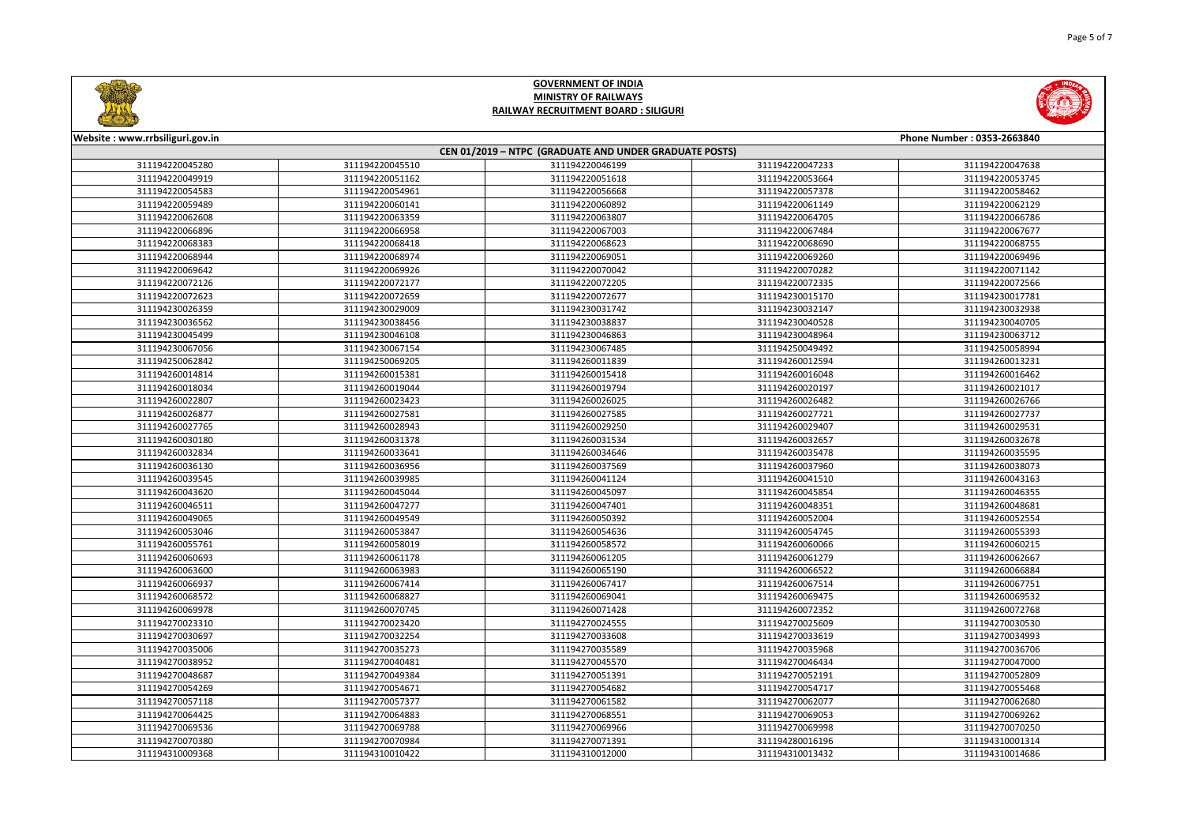

| Website: www.rrbsiliguri.gov.in                        |                 |                 |                 | Phone Number: 0353-2663840 |  |
|--------------------------------------------------------|-----------------|-----------------|-----------------|----------------------------|--|
| CEN 01/2019 - NTPC (GRADUATE AND UNDER GRADUATE POSTS) |                 |                 |                 |                            |  |
| 311194220045280                                        | 311194220045510 | 311194220046199 | 311194220047233 | 311194220047638            |  |
| 311194220049919                                        | 311194220051162 | 311194220051618 | 311194220053664 | 311194220053745            |  |
| 311194220054583                                        | 311194220054961 | 311194220056668 | 311194220057378 | 311194220058462            |  |
| 311194220059489                                        | 311194220060141 | 311194220060892 | 311194220061149 | 311194220062129            |  |
| 311194220062608                                        | 311194220063359 | 311194220063807 | 311194220064705 | 311194220066786            |  |
| 311194220066896                                        | 311194220066958 | 311194220067003 | 311194220067484 | 311194220067677            |  |
| 311194220068383                                        | 311194220068418 | 311194220068623 | 311194220068690 | 311194220068755            |  |
| 311194220068944                                        | 311194220068974 | 311194220069051 | 311194220069260 | 311194220069496            |  |
| 311194220069642                                        | 311194220069926 | 311194220070042 | 311194220070282 | 311194220071142            |  |
| 311194220072126                                        | 311194220072177 | 311194220072205 | 311194220072335 | 311194220072566            |  |
| 311194220072623                                        | 311194220072659 | 311194220072677 | 311194230015170 | 311194230017781            |  |
| 311194230026359                                        | 311194230029009 | 311194230031742 | 311194230032147 | 311194230032938            |  |
| 311194230036562                                        | 311194230038456 | 311194230038837 | 311194230040528 | 311194230040705            |  |
| 311194230045499                                        | 311194230046108 | 311194230046863 | 311194230048964 | 311194230063712            |  |
| 311194230067056                                        | 311194230067154 | 311194230067485 | 311194250049492 | 311194250058994            |  |
| 311194250062842                                        | 311194250069205 | 311194260011839 | 311194260012594 | 311194260013231            |  |
| 311194260014814                                        | 311194260015381 | 311194260015418 | 311194260016048 | 311194260016462            |  |
| 311194260018034                                        | 311194260019044 | 311194260019794 | 311194260020197 | 311194260021017            |  |
| 311194260022807                                        | 311194260023423 | 311194260026025 | 311194260026482 | 311194260026766            |  |
| 311194260026877                                        | 311194260027581 | 311194260027585 | 311194260027721 | 311194260027737            |  |
| 311194260027765                                        | 311194260028943 | 311194260029250 | 311194260029407 | 311194260029531            |  |
| 311194260030180                                        | 311194260031378 | 311194260031534 | 311194260032657 | 311194260032678            |  |
| 311194260032834                                        | 311194260033641 | 311194260034646 | 311194260035478 | 311194260035595            |  |
| 311194260036130                                        | 311194260036956 | 311194260037569 | 311194260037960 | 311194260038073            |  |
| 311194260039545                                        | 311194260039985 | 311194260041124 | 311194260041510 | 311194260043163            |  |
| 311194260043620                                        | 311194260045044 | 311194260045097 | 311194260045854 | 311194260046355            |  |
| 311194260046511                                        | 311194260047277 | 311194260047401 | 311194260048351 | 311194260048681            |  |
| 311194260049065                                        | 311194260049549 | 311194260050392 | 311194260052004 | 311194260052554            |  |
| 311194260053046                                        | 311194260053847 | 311194260054636 | 311194260054745 | 311194260055393            |  |
| 311194260055761                                        | 311194260058019 | 311194260058572 | 311194260060066 | 311194260060215            |  |
| 311194260060693                                        | 311194260061178 | 311194260061205 | 311194260061279 | 311194260062667            |  |
| 311194260063600                                        | 311194260063983 | 311194260065190 | 311194260066522 | 311194260066884            |  |
| 311194260066937                                        | 311194260067414 | 311194260067417 | 311194260067514 | 311194260067751            |  |
| 311194260068572                                        | 311194260068827 | 311194260069041 | 311194260069475 | 311194260069532            |  |
| 311194260069978                                        | 311194260070745 | 311194260071428 | 311194260072352 | 311194260072768            |  |
| 311194270023310                                        | 311194270023420 | 311194270024555 | 311194270025609 | 311194270030530            |  |
| 311194270030697                                        | 311194270032254 | 311194270033608 | 311194270033619 | 311194270034993            |  |
| 311194270035006                                        | 311194270035273 | 311194270035589 | 311194270035968 | 311194270036706            |  |
| 311194270038952                                        | 311194270040481 | 311194270045570 | 311194270046434 | 311194270047000            |  |
| 311194270048687                                        | 311194270049384 | 311194270051391 | 311194270052191 | 311194270052809            |  |
| 311194270054269                                        | 311194270054671 | 311194270054682 | 311194270054717 | 311194270055468            |  |
| 311194270057118                                        | 311194270057377 | 311194270061582 | 311194270062077 | 311194270062680            |  |
| 311194270064425                                        | 311194270064883 | 311194270068551 | 311194270069053 | 311194270069262            |  |
| 311194270069536                                        | 311194270069788 | 311194270069966 | 311194270069998 | 311194270070250            |  |
| 311194270070380                                        | 311194270070984 | 311194270071391 | 311194280016196 | 311194310001314            |  |
| 311194310009368                                        | 311194310010422 | 311194310012000 | 311194310013432 | 311194310014686            |  |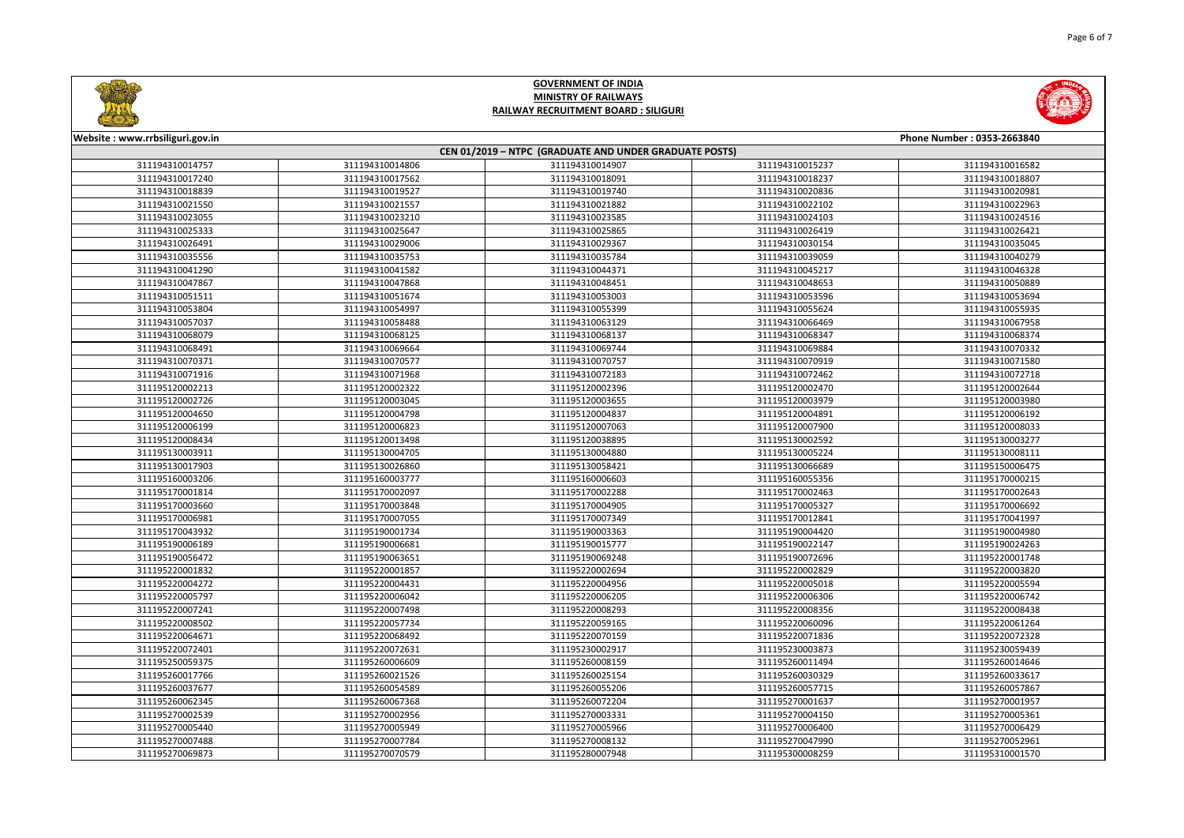| Phone Number: 0353-2663840 |
|----------------------------|
|                            |
| 311194310016582            |
| 311194310018807            |
| 311194310020981            |
| 311194310022963            |
| 311194310024516            |
| 311194310026421            |
| 311194310035045            |
| 311194310040279            |
| 311194310046328            |
| 311194310050889            |
| 311194310053694            |
| 311194310055935            |
| 311194310067958            |
| 311194310068374            |
| 311194310070332            |
| 311194310071580            |
| 311194310072718            |
| 311195120002644            |
| 311195120003980            |
| 311195120006192            |
| 311195120008033            |
| 311195130003277            |
| 311195130008111            |
| 311195150006475            |
| 311195170000215            |
| 311195170002643            |
| 311195170006692            |
| 311195170041997            |
| 311195190004980            |
| 311195190024263            |
| 311195220001748            |
| 311195220003820            |
| 311195220005594            |
| 311195220006742            |
| 311195220008438            |
| 311195220061264            |
| 311195220072328            |
| 311195230059439            |
| 311195260014646            |
| 311195260033617            |
| 311195260057867            |
| 311195270001957            |



| Website: www.rrbsiliguri.gov.in                        |                 |                 |                 | Phone Number: 0353-2663840 |  |
|--------------------------------------------------------|-----------------|-----------------|-----------------|----------------------------|--|
| CEN 01/2019 - NTPC (GRADUATE AND UNDER GRADUATE POSTS) |                 |                 |                 |                            |  |
| 311194310014757                                        | 311194310014806 | 311194310014907 | 311194310015237 | 311194310016582            |  |
| 311194310017240                                        | 311194310017562 | 311194310018091 | 311194310018237 | 311194310018807            |  |
| 311194310018839                                        | 311194310019527 | 311194310019740 | 311194310020836 | 311194310020981            |  |
| 311194310021550                                        | 311194310021557 | 311194310021882 | 311194310022102 | 311194310022963            |  |
| 311194310023055                                        | 311194310023210 | 311194310023585 | 311194310024103 | 311194310024516            |  |
| 311194310025333                                        | 311194310025647 | 311194310025865 | 311194310026419 | 311194310026421            |  |
| 311194310026491                                        | 311194310029006 | 311194310029367 | 311194310030154 | 311194310035045            |  |
| 311194310035556                                        | 311194310035753 | 311194310035784 | 311194310039059 | 311194310040279            |  |
| 311194310041290                                        | 311194310041582 | 311194310044371 | 311194310045217 | 311194310046328            |  |
| 311194310047867                                        | 311194310047868 | 311194310048451 | 311194310048653 | 311194310050889            |  |
| 311194310051511                                        | 311194310051674 | 311194310053003 | 311194310053596 | 311194310053694            |  |
| 311194310053804                                        | 311194310054997 | 311194310055399 | 311194310055624 | 311194310055935            |  |
| 311194310057037                                        | 311194310058488 | 311194310063129 | 311194310066469 | 311194310067958            |  |
| 311194310068079                                        | 311194310068125 | 311194310068137 | 311194310068347 | 311194310068374            |  |
| 311194310068491                                        | 311194310069664 | 311194310069744 | 311194310069884 | 311194310070332            |  |
| 311194310070371                                        | 311194310070577 | 311194310070757 | 311194310070919 | 311194310071580            |  |
| 311194310071916                                        | 311194310071968 | 311194310072183 | 311194310072462 | 311194310072718            |  |
| 311195120002213                                        | 311195120002322 | 311195120002396 | 311195120002470 | 311195120002644            |  |
| 311195120002726                                        | 311195120003045 | 311195120003655 | 311195120003979 | 311195120003980            |  |
| 311195120004650                                        | 311195120004798 | 311195120004837 | 311195120004891 | 311195120006192            |  |
| 311195120006199                                        | 311195120006823 | 311195120007063 | 311195120007900 | 311195120008033            |  |
| 311195120008434                                        | 311195120013498 | 311195120038895 | 311195130002592 | 311195130003277            |  |
| 311195130003911                                        | 311195130004705 | 311195130004880 | 311195130005224 | 311195130008111            |  |
| 311195130017903                                        | 311195130026860 | 311195130058421 | 311195130066689 | 311195150006475            |  |
| 311195160003206                                        | 311195160003777 | 311195160006603 | 311195160055356 | 311195170000215            |  |
| 311195170001814                                        | 311195170002097 | 311195170002288 | 311195170002463 | 311195170002643            |  |
| 311195170003660                                        | 311195170003848 | 311195170004905 | 311195170005327 | 311195170006692            |  |
| 311195170006981                                        | 311195170007055 | 311195170007349 | 311195170012841 | 311195170041997            |  |
| 311195170043932                                        | 311195190001734 | 311195190003363 | 311195190004420 | 311195190004980            |  |
| 311195190006189                                        | 311195190006681 | 311195190015777 | 311195190022147 | 311195190024263            |  |
| 311195190056472                                        | 311195190063651 | 311195190069248 | 311195190072696 | 311195220001748            |  |
| 311195220001832                                        | 311195220001857 | 311195220002694 | 311195220002829 | 311195220003820            |  |
| 311195220004272                                        | 311195220004431 | 311195220004956 | 311195220005018 | 311195220005594            |  |
| 311195220005797                                        | 311195220006042 | 311195220006205 | 311195220006306 | 311195220006742            |  |
| 311195220007241                                        | 311195220007498 | 311195220008293 | 311195220008356 | 311195220008438            |  |
| 311195220008502                                        | 311195220057734 | 311195220059165 | 311195220060096 | 311195220061264            |  |
| 311195220064671                                        | 311195220068492 | 311195220070159 | 311195220071836 | 311195220072328            |  |
| 311195220072401                                        | 311195220072631 | 311195230002917 | 311195230003873 | 311195230059439            |  |
| 311195250059375                                        | 311195260006609 | 311195260008159 | 311195260011494 | 311195260014646            |  |
| 311195260017766                                        | 311195260021526 | 311195260025154 | 311195260030329 | 311195260033617            |  |
| 311195260037677                                        | 311195260054589 | 311195260055206 | 311195260057715 | 311195260057867            |  |
| 311195260062345                                        | 311195260067368 | 311195260072204 | 311195270001637 | 311195270001957            |  |
| 311195270002539                                        | 311195270002956 | 311195270003331 | 311195270004150 | 311195270005361            |  |
| 311195270005440                                        | 311195270005949 | 311195270005966 | 311195270006400 | 311195270006429            |  |
| 311195270007488                                        | 311195270007784 | 311195270008132 | 311195270047990 | 311195270052961            |  |
| 311195270069873                                        | 311195270070579 | 311195280007948 | 311195300008259 | 311195310001570            |  |
|                                                        |                 |                 |                 |                            |  |